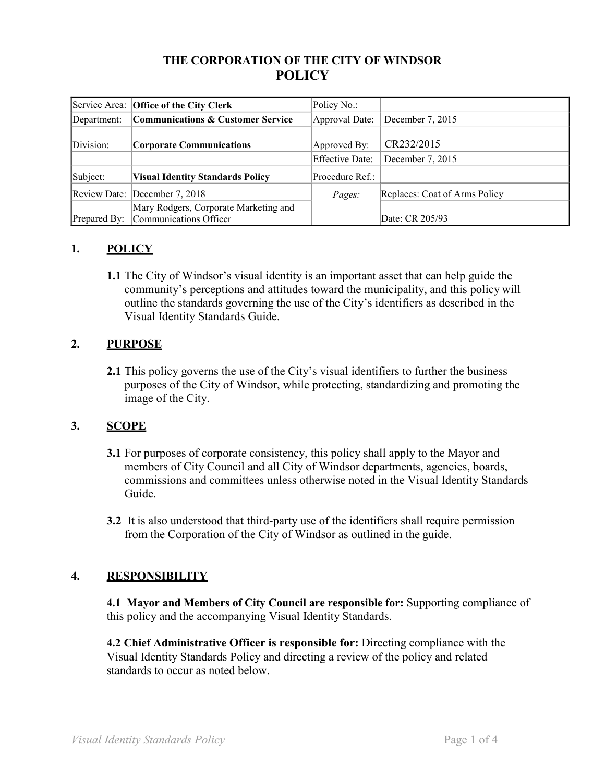# **THE CORPORATION OF THE CITY OF WINDSOR POLICY**

|              | Service Area: Office of the City Clerk                          | Policy No.:     |                               |
|--------------|-----------------------------------------------------------------|-----------------|-------------------------------|
| Department:  | <b>Communications &amp; Customer Service</b>                    | Approval Date:  | December 7, 2015              |
| Division:    | <b>Corporate Communications</b>                                 | Approved By:    | CR232/2015                    |
|              |                                                                 | Effective Date: | December 7, 2015              |
| Subject:     | <b>Visual Identity Standards Policy</b>                         | Procedure Ref.: |                               |
|              | Review Date: December 7, 2018                                   | <i>Pages:</i>   | Replaces: Coat of Arms Policy |
| Prepared By: | Mary Rodgers, Corporate Marketing and<br>Communications Officer |                 | Date: CR 205/93               |

## **1. POLICY**

**1.1** The City of Windsor's visual identity is an important asset that can help guide the community's perceptions and attitudes toward the municipality, and this policy will outline the standards governing the use of the City's identifiers as described in the Visual Identity Standards Guide.

## **2. PURPOSE**

**2.1** This policy governs the use of the City's visual identifiers to further the business purposes of the City of Windsor, while protecting, standardizing and promoting the image of the City.

# **3. SCOPE**

- **3.1** For purposes of corporate consistency, this policy shall apply to the Mayor and members of City Council and all City of Windsor departments, agencies, boards, commissions and committees unless otherwise noted in the Visual Identity Standards Guide.
- **3.2** It is also understood that third-party use of the identifiers shall require permission from the Corporation of the City of Windsor as outlined in the guide.

# **4. RESPONSIBILITY**

**4.1 Mayor and Members of City Council are responsible for:** Supporting compliance of this policy and the accompanying Visual Identity Standards.

**4.2 Chief Administrative Officer is responsible for:** Directing compliance with the Visual Identity Standards Policy and directing a review of the policy and related standards to occur as noted below.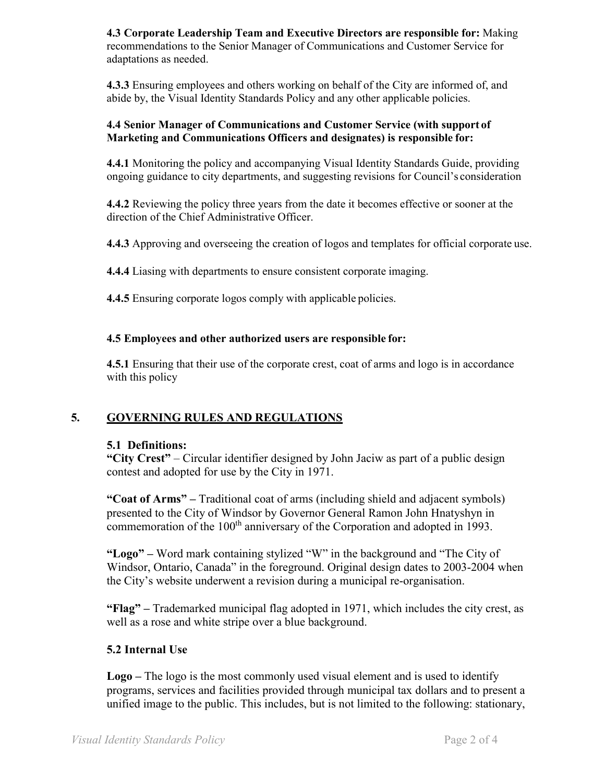**4.3 Corporate Leadership Team and Executive Directors are responsible for:** Making recommendations to the Senior Manager of Communications and Customer Service for adaptations as needed.

**4.3.3** Ensuring employees and others working on behalf of the City are informed of, and abide by, the Visual Identity Standards Policy and any other applicable policies.

#### **4.4 Senior Manager of Communications and Customer Service (with support of Marketing and Communications Officers and designates) is responsible for:**

**4.4.1** Monitoring the policy and accompanying Visual Identity Standards Guide, providing ongoing guidance to city departments, and suggesting revisions for Council's consideration

**4.4.2** Reviewing the policy three years from the date it becomes effective or sooner at the direction of the Chief Administrative Officer.

**4.4.3** Approving and overseeing the creation of logos and templates for official corporate use.

**4.4.4** Liasing with departments to ensure consistent corporate imaging.

**4.4.5** Ensuring corporate logos comply with applicable policies.

### **4.5 Employees and other authorized users are responsible for:**

**4.5.1** Ensuring that their use of the corporate crest, coat of arms and logo is in accordance with this policy

## **5. GOVERNING RULES AND REGULATIONS**

#### **5.1 Definitions:**

**"City Crest"** – Circular identifier designed by John Jaciw as part of a public design contest and adopted for use by the City in 1971.

**"Coat of Arms" –** Traditional coat of arms (including shield and adjacent symbols) presented to the City of Windsor by Governor General Ramon John Hnatyshyn in commemoration of the 100<sup>th</sup> anniversary of the Corporation and adopted in 1993.

**"Logo" –** Word mark containing stylized "W" in the background and "The City of Windsor, Ontario, Canada" in the foreground. Original design dates to 2003-2004 when the City's website underwent a revision during a municipal re-organisation.

**"Flag" –** Trademarked municipal flag adopted in 1971, which includes the city crest, as well as a rose and white stripe over a blue background.

## **5.2 Internal Use**

**Logo –** The logo is the most commonly used visual element and is used to identify programs, services and facilities provided through municipal tax dollars and to present a unified image to the public. This includes, but is not limited to the following: stationary,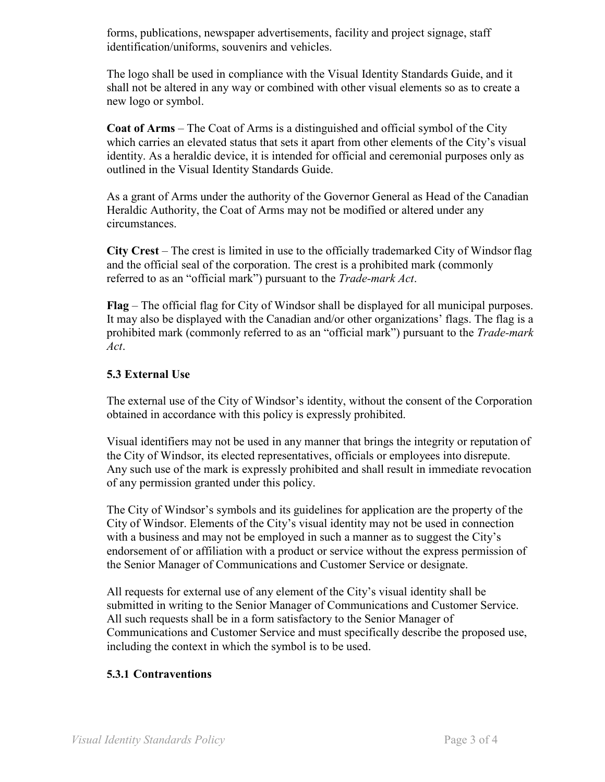forms, publications, newspaper advertisements, facility and project signage, staff identification/uniforms, souvenirs and vehicles.

The logo shall be used in compliance with the Visual Identity Standards Guide, and it shall not be altered in any way or combined with other visual elements so as to create a new logo or symbol.

**Coat of Arms** – The Coat of Arms is a distinguished and official symbol of the City which carries an elevated status that sets it apart from other elements of the City's visual identity. As a heraldic device, it is intended for official and ceremonial purposes only as outlined in the Visual Identity Standards Guide.

As a grant of Arms under the authority of the Governor General as Head of the Canadian Heraldic Authority, the Coat of Arms may not be modified or altered under any circumstances.

**City Crest** – The crest is limited in use to the officially trademarked City of Windsor flag and the official seal of the corporation. The crest is a prohibited mark (commonly referred to as an "official mark") pursuant to the *Trade-mark Act*.

**Flag** – The official flag for City of Windsor shall be displayed for all municipal purposes. It may also be displayed with the Canadian and/or other organizations' flags. The flag is a prohibited mark (commonly referred to as an "official mark") pursuant to the *Trade-mark Act*.

## **5.3 External Use**

The external use of the City of Windsor's identity, without the consent of the Corporation obtained in accordance with this policy is expressly prohibited.

Visual identifiers may not be used in any manner that brings the integrity or reputation of the City of Windsor, its elected representatives, officials or employees into disrepute. Any such use of the mark is expressly prohibited and shall result in immediate revocation of any permission granted under this policy.

The City of Windsor's symbols and its guidelines for application are the property of the City of Windsor. Elements of the City's visual identity may not be used in connection with a business and may not be employed in such a manner as to suggest the City's endorsement of or affiliation with a product or service without the express permission of the Senior Manager of Communications and Customer Service or designate.

All requests for external use of any element of the City's visual identity shall be submitted in writing to the Senior Manager of Communications and Customer Service. All such requests shall be in a form satisfactory to the Senior Manager of Communications and Customer Service and must specifically describe the proposed use, including the context in which the symbol is to be used.

#### **5.3.1 Contraventions**